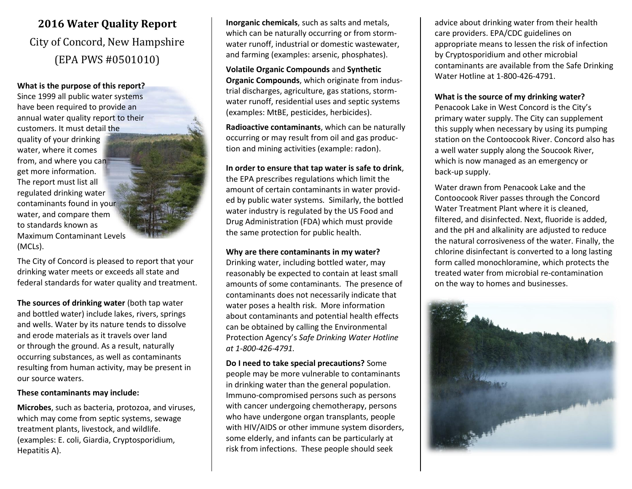# **2016 Water Quality Report** City of Concord, New Hampshire (EPA PWS #0501010)

#### **What is the purpose of this report?**

Since 1999 all public water systems have been required to provide an annual water quality report to their customers. It must detail the quality of your drinking water, where it comes from, and where you can get more information. The report must list all regulated drinking water contaminants found in your water, and compare them to standards known as Maximum Contaminant Levels (MCLs).

The City of Concord is pleased to report that your drinking water meets or exceeds all state and federal standards for water quality and treatment.

**The sources of drinking water** (both tap water and bottled water) include lakes, rivers, springs and wells. Water by its nature tends to dissolve and erode materials as it travels over land or through the ground. As a result, naturally occurring substances, as well as contaminants resulting from human activity, may be present in our source waters.

#### **These contaminants may include:**

**Microbes**, such as bacteria, protozoa, and viruses, which may come from septic systems, sewage treatment plants, livestock, and wildlife. (examples: E. coli, Giardia, Cryptosporidium, Hepatitis A).

**Inorganic chemicals**, such as salts and metals, which can be naturally occurring or from stormwater runoff, industrial or domestic wastewater, and farming (examples: arsenic, phosphates).

**Volatile Organic Compounds** and **Synthetic Organic Compounds**, which originate from industrial discharges, agriculture, gas stations, stormwater runoff, residential uses and septic systems (examples: MtBE, pesticides, herbicides).

**Radioactive contaminants**, which can be naturally occurring or may result from oil and gas production and mining activities (example: radon).

#### **In order to ensure that tap water is safe to drink**,

the EPA prescribes regulations which limit the amount of certain contaminants in water provided by public water systems. Similarly, the bottled water industry is regulated by the US Food and Drug Administration (FDA) which must provide the same protection for public health.

#### **Why are there contaminants in my water?**

Drinking water, including bottled water, may reasonably be expected to contain at least small amounts of some contaminants. The presence of contaminants does not necessarily indicate that water poses a health risk. More information about contaminants and potential health effects can be obtained by calling the Environmental Protection Agency's *Safe Drinking Water Hotline at 1-800-426-4791.*

**Do I need to take special precautions?** Some people may be more vulnerable to contaminants in drinking water than the general population. Immuno-compromised persons such as persons with cancer undergoing chemotherapy, persons who have undergone organ transplants, people with HIV/AIDS or other immune system disorders, some elderly, and infants can be particularly at risk from infections. These people should seek

advice about drinking water from their health care providers. EPA/CDC guidelines on appropriate means to lessen the risk of infection by Cryptosporidium and other microbial contaminants are available from the Safe Drinking Water Hotline at 1-800-426-4791.

#### **What is the source of my drinking water?**

Penacook Lake in West Concord is the City's primary water supply. The City can supplement this supply when necessary by using its pumping station on the Contoocook River. Concord also has a well water supply along the Soucook River, which is now managed as an emergency or back-up supply.

Water drawn from Penacook Lake and the Contoocook River passes through the Concord Water Treatment Plant where it is cleaned, filtered, and disinfected. Next, fluoride is added, and the pH and alkalinity are adjusted to reduce the natural corrosiveness of the water. Finally, the chlorine disinfectant is converted to a long lasting form called monochloramine, which protects the treated water from microbial re-contamination on the way to homes and businesses.

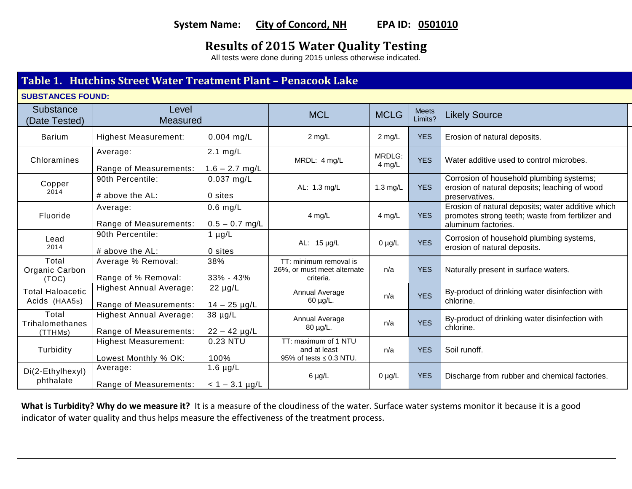## System Name: City of Concord, NH EPA ID: 0501010

## **Results of 2015 Water Quality Testing**

All tests were done during 2015 unless otherwise indicated.

### **Table 1. Hutchins Street Water Treatment Plant – Penacook Lake**

| <b>Substance</b><br>(Date Tested)        | Level<br><b>Measured</b>                                 |                                        | <b>MCL</b>                                                           | <b>MCLG</b>        | <b>Meets</b><br>Limits? | <b>Likely Source</b>                                                                                                         |  |
|------------------------------------------|----------------------------------------------------------|----------------------------------------|----------------------------------------------------------------------|--------------------|-------------------------|------------------------------------------------------------------------------------------------------------------------------|--|
| <b>Barium</b>                            | <b>Highest Measurement:</b>                              | $0.004$ mg/L                           | $2$ mg/L                                                             | $2$ mg/L           | <b>YES</b>              | Erosion of natural deposits.                                                                                                 |  |
| Chloramines                              | Average:<br>Range of Measurements:                       | $2.1 \text{ mg/L}$<br>$1.6 - 2.7$ mg/L | MRDL: 4 mg/L                                                         | MRDLG:<br>4 mg/L   | <b>YES</b>              | Water additive used to control microbes.                                                                                     |  |
| Copper<br>2014                           | 90th Percentile:<br># above the AL:                      | $0.037$ mg/L<br>0 sites                | AL: 1.3 mg/L                                                         | $1.3 \text{ mg/L}$ | <b>YES</b>              | Corrosion of household plumbing systems;<br>erosion of natural deposits; leaching of wood<br>preservatives.                  |  |
| Fluoride                                 | Average:<br>Range of Measurements:                       | $0.6$ mg/L<br>$0.5 - 0.7$ mg/L         | 4 mg/L                                                               | 4 mg/L             | <b>YES</b>              | Erosion of natural deposits; water additive which<br>promotes strong teeth; waste from fertilizer and<br>aluminum factories. |  |
| Lead<br>2014                             | 90th Percentile:<br># above the AL:                      | $1 \mu g/L$<br>0 sites                 | AL: 15 µg/L                                                          | $0 \mu g/L$        | <b>YES</b>              | Corrosion of household plumbing systems,<br>erosion of natural deposits.                                                     |  |
| Total<br>Organic Carbon<br>(TOC)         | Average % Removal:<br>Range of % Removal:                | 38%<br>33% - 43%                       | TT: minimum removal is<br>26%, or must meet alternate<br>criteria.   | n/a                | <b>YES</b>              | Naturally present in surface waters.                                                                                         |  |
| <b>Total Haloacetic</b><br>Acids (HAA5s) | <b>Highest Annual Average:</b><br>Range of Measurements: | $22 \mu g/L$<br>$14 - 25 \mu g/L$      | Annual Average<br>60 µg/L.                                           | n/a                | <b>YES</b>              | By-product of drinking water disinfection with<br>chlorine.                                                                  |  |
| Total<br>Trihalomethanes<br>(TTHMs)      | <b>Highest Annual Average:</b><br>Range of Measurements: | 38 µg/L<br>$22 - 42$ µg/L              | Annual Average<br>80 µg/L.                                           | n/a                | <b>YES</b>              | By-product of drinking water disinfection with<br>chlorine.                                                                  |  |
| Turbidity                                | <b>Highest Measurement:</b><br>Lowest Monthly % OK:      | 0.23 NTU<br>100%                       | TT: maximum of 1 NTU<br>and at least<br>95% of tests $\leq$ 0.3 NTU. | n/a                | <b>YES</b>              | Soil runoff.                                                                                                                 |  |
| Di(2-Ethylhexyl)<br>phthalate            | Average:<br>Range of Measurements:                       | 1.6 $\mu$ g/L<br>$< 1 - 3.1$ µg/L      | $6 \mu g/L$                                                          | $0 \mu g/L$        | <b>YES</b>              | Discharge from rubber and chemical factories.                                                                                |  |

What is Turbidity? Why do we measure it? It is a measure of the cloudiness of the water. Surface water systems monitor it because it is a good indicator of water quality and thus helps measure the effectiveness of the treatment process.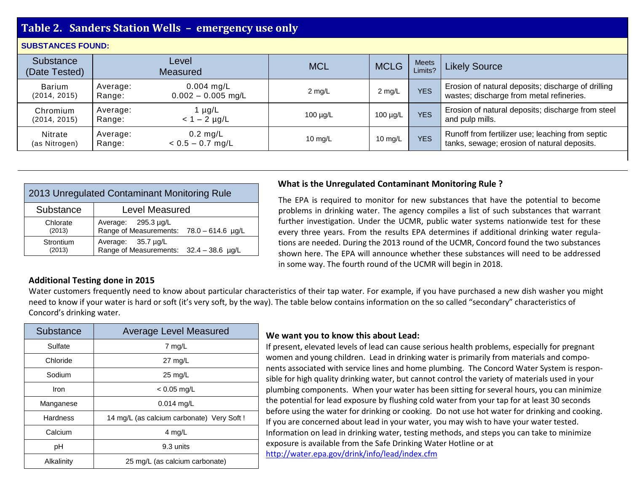| Table 2. Sanders Station Wells - emergency use only |                    |                                      |               |               |                         |                                                                                                 |
|-----------------------------------------------------|--------------------|--------------------------------------|---------------|---------------|-------------------------|-------------------------------------------------------------------------------------------------|
| <b>SUBSTANCES FOUND:</b>                            |                    |                                      |               |               |                         |                                                                                                 |
| Substance<br>(Date Tested)                          |                    | Level<br><b>Measured</b>             | <b>MCL</b>    | <b>MCLG</b>   | <b>Meets</b><br>Limits? | <b>Likely Source</b>                                                                            |
| <b>Barium</b><br>(2014, 2015)                       | Average:<br>Range: | $0.004$ mg/L<br>$0.002 - 0.005$ mg/L | $2$ mg/L      | $2$ mg/L      | <b>YES</b>              | Erosion of natural deposits; discharge of drilling<br>wastes; discharge from metal refineries.  |
| Chromium<br>(2014, 2015)                            | Average:<br>Range: | 1 µg/L<br>$< 1 - 2$ µg/L             | $100 \mu g/L$ | 100 $\mu$ g/L | <b>YES</b>              | Erosion of natural deposits; discharge from steel<br>and pulp mills.                            |
| Nitrate<br>(as Nitrogen)                            | Average:<br>Range: | $0.2$ mg/L<br>$< 0.5 - 0.7$ mg/L     | 10 $mg/L$     | 10 mg/L       | <b>YES</b>              | Runoff from fertilizer use; leaching from septic<br>tanks, sewage; erosion of natural deposits. |

| 2013 Unregulated Contaminant Monitoring Rule |                                                                      |  |  |  |
|----------------------------------------------|----------------------------------------------------------------------|--|--|--|
| Substance                                    | <b>Level Measured</b>                                                |  |  |  |
| Chlorate<br>(2013)                           | Average: $295.3 \mu g/L$<br>Range of Measurements: 78.0 - 614.6 µg/L |  |  |  |
| Strontium<br>(2013)                          | Average: $35.7 \mu g/L$<br>Range of Measurements: 32.4 - 38.6 µg/L   |  |  |  |

#### **What is the Unregulated Contaminant Monitoring Rule ?**

The EPA is required to monitor for new substances that have the potential to become problems in drinking water. The agency compiles a list of such substances that warrant further investigation. Under the UCMR, public water systems nationwide test for these every three years. From the results EPA determines if additional drinking water regulations are needed. During the 2013 round of the UCMR, Concord found the two substances shown here. The EPA will announce whether these substances will need to be addressed in some way. The fourth round of the UCMR will begin in 2018.

#### **Additional Testing done in 2015**

Water customers frequently need to know about particular characteristics of their tap water. For example, if you have purchased a new dish washer you might need to know if your water is hard or soft (it's very soft, by the way). The table below contains information on the so called "secondary" characteristics of Concord's drinking water.

| Substance                                    | <b>Average Level Measured</b>             |  |  |
|----------------------------------------------|-------------------------------------------|--|--|
| Sulfate                                      | $7 \text{ mg/L}$                          |  |  |
| Chloride                                     | $27 \text{ mg/L}$                         |  |  |
| Sodium                                       | $25 \text{ mg/L}$                         |  |  |
| Iron                                         | $< 0.05$ mg/L                             |  |  |
| Manganese                                    | $0.014$ mg/L                              |  |  |
| <b>Hardness</b>                              | 14 mg/L (as calcium carbonate) Very Soft! |  |  |
| Calcium                                      | $4$ mg/L                                  |  |  |
| рH                                           | 9.3 units                                 |  |  |
| 25 mg/L (as calcium carbonate)<br>Alkalinity |                                           |  |  |

#### **We want you to know this about Lead:**

If present, elevated levels of lead can cause serious health problems, especially for pregnant women and young children. Lead in drinking water is primarily from materials and components associated with service lines and home plumbing. The Concord Water System is responsible for high quality drinking water, but cannot control the variety of materials used in your plumbing components. When your water has been sitting for several hours, you can minimize the potential for lead exposure by flushing cold water from your tap for at least 30 seconds before using the water for drinking or cooking. Do not use hot water for drinking and cooking. If you are concerned about lead in your water, you may wish to have your water tested. Information on lead in drinking water, testing methods, and steps you can take to minimize exposure is available from the Safe Drinking Water Hotline or at <http://water.epa.gov/drink/info/lead/index.cfm>